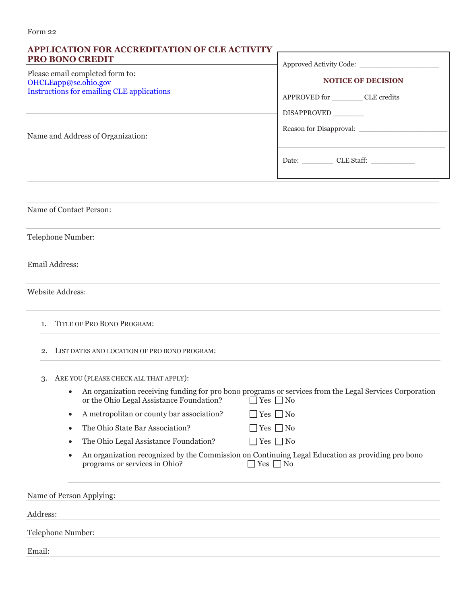| <b>PRO BONO CREDIT</b><br>Please email completed form to:<br>OHCLEapp@sc.ohio.gov<br><b>Instructions for emailing CLE applications</b> | Approved Activity Code:<br><b>NOTICE OF DECISION</b><br>APPROVED for CLE credits<br>DISAPPROVED                                 |  |
|----------------------------------------------------------------------------------------------------------------------------------------|---------------------------------------------------------------------------------------------------------------------------------|--|
| Name and Address of Organization:                                                                                                      | Date: CLE Staff:                                                                                                                |  |
|                                                                                                                                        |                                                                                                                                 |  |
| Name of Contact Person:                                                                                                                |                                                                                                                                 |  |
| Telephone Number:                                                                                                                      |                                                                                                                                 |  |
| Email Address:                                                                                                                         |                                                                                                                                 |  |
| <b>Website Address:</b>                                                                                                                |                                                                                                                                 |  |
| TITLE OF PRO BONO PROGRAM:<br>1 <sub>1</sub>                                                                                           |                                                                                                                                 |  |
| LIST DATES AND LOCATION OF PRO BONO PROGRAM:<br>2.                                                                                     |                                                                                                                                 |  |
| ARE YOU (PLEASE CHECK ALL THAT APPLY):<br>3.<br>or the Ohio Legal Assistance Foundation?                                               | An organization receiving funding for pro bono programs or services from the Legal Services Corporation<br>$\Box$ Yes $\Box$ No |  |

| A metropolitan or county bar association? | $\Box$ Yes $\Box$ No |
|-------------------------------------------|----------------------|
|                                           |                      |

- The Ohio State Bar Association?  $\Box$  Yes  $\Box$  No
- The Ohio Legal Assistance Foundation?  $\Box$  Yes  $\Box$  No
- An organization recognized by the Commission on Continuing Legal Education as providing pro bono programs or services in Ohio?  $\Box$  Yes  $\Box$  No

Name of Person Applying: Address: Telephone Number: Email: